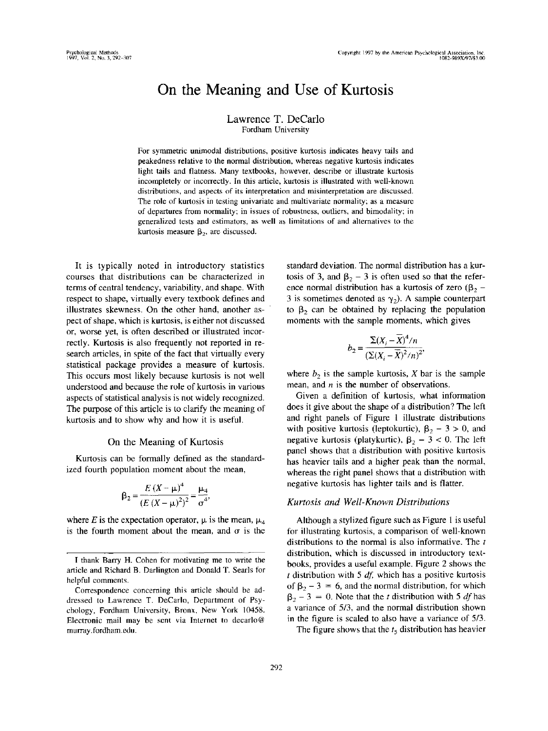# **On the Meaning and Use of Kurtosis**

#### Lawrence T. DeCarlo Fordham University

For symmetric unimodal distributions, positive kurtosis indicates heavy tails and peakedness relative to the normal distribution, whereas negative kurtosis indicates light tails and flatness. Many textbooks, however, describe or illustrate kurtosis incompletely or incorrectly. In this article, kurtosis is illustrated with well-known distributions, and aspects of its interpretation and misinterpretation are discussed. The role of kurtosis in testing univariate and multivariate normality; as a measure of departures from normality; in issues of robustness, outliers, and bimodality; in generalized tests and estimators, as well as limitations of and alternatives to the kurtosis measure  $\beta_2$ , are discussed.

It is typically noted in introductory statistics courses that distributions can be characterized in terms of central tendency, variability, and shape. With respect to shape, virtually every textbook defines and illustrates skewness. On the other hand, another aspect of shape, which is kurtosis, is either not discussed or, worse yet, is often described or illustrated incorrectly. Kurtosis is also frequently not reported in research articles, in spite of the fact that virtually every statistical package provides a measure of kurtosis. This occurs most likely because kurtosis is not well understood and because the role of kurtosis in various aspects of statistical analysis is not widely recognized. The purpose of this article is to clarify the meaning of kurtosis and to show why and how it is useful.

#### On the Meaning of Kurtosis

Kurtosis can be formally defined as the standardized fourth population moment about the mean,

$$
\beta_2 = \frac{E (X - \mu)^4}{(E (X - \mu)^2)^2} = \frac{\mu_4}{\sigma^4},
$$

where E is the expectation operator,  $\mu$  is the mean,  $\mu_4$ is the fourth moment about the mean, and  $\sigma$  is the

standard deviation. The normal distribution has a kurtosis of 3, and  $\beta_2$  - 3 is often used so that the reference normal distribution has a kurtosis of zero ( $\beta_2$  -3 is sometimes denoted as  $\gamma_2$ ). A sample counterpart to  $\beta_2$  can be obtained by replacing the population moments with the sample moments, which gives

$$
b_2 = \frac{\Sigma (X_i - X)^4 / n}{(\Sigma (X_i - \overline{X})^2 / n)^2},
$$

where  $b_2$  is the sample kurtosis, X bar is the sample mean, and  $n$  is the number of observations.

Given a definition of kurtosis, what information does it give about the shape of a distribution? The left and right panels of Figure 1 illustrate distributions with positive kurtosis (leptokurtic),  $\beta_2 - 3 > 0$ , and negative kurtosis (platykurtic),  $\beta_2 - 3 < 0$ . The left panel shows that a distribution with positive kurtosis has heavier tails and a higher peak than the normal, whereas the right panel shows that a distribution with negative kurtosis has lighter tails and is flatter.

#### *Kurtosis and Well-Known Distributions*

Although a stylized figure such as Figure 1 is useful for illustrating kurtosis, a comparison of well-known distributions to the normal is also informative. The  $t$ distribution, which is discussed in introductory textbooks, provides a useful example. Figure 2 shows the t distribution with 5 *df*, which has a positive kurtosis of  $\beta_2$  - 3 = 6, and the normal distribution, for which  $\beta_2 - 3 = 0$ . Note that the t distribution with 5 *df* has a variance of 5/3, and the normal distribution shown in the figure is scaled to also have a variance of 5/3.

The figure shows that the  $t_5$  distribution has heavier

I thank Barry H. Cohen for motivating me to write the article and Richard B. Darlington and Donald T. Searls for helpful comments.

Correspondence concerning this article should be addressed to Lawrence T. DeCarlo, Department of Psychology, Fordham University, Bronx, New York 10458. Electronic mail may be sent via Internet to decarlo@ murray.fordham.edu.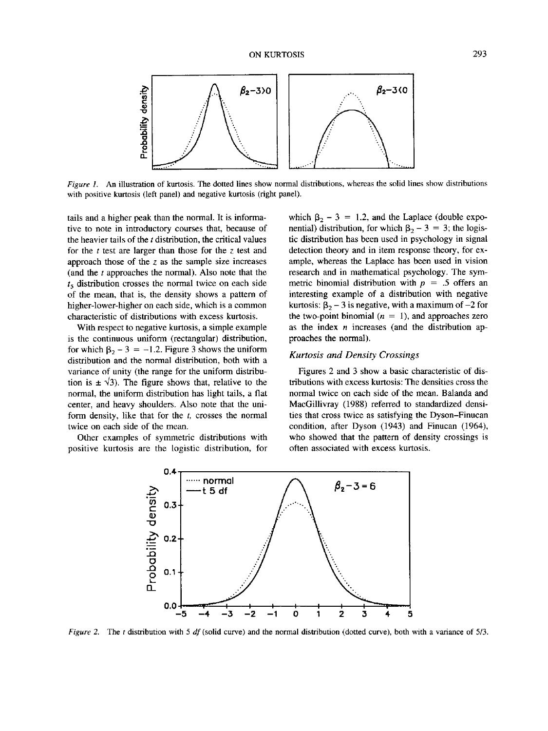

*Figure 1.* An illustration of kurtosis. The dotted lines show normal distributions, whereas the solid lines show distributions with positive kurtosis (left panel) and negative kurtosis (right panel).

tails and a higher peak than the normal. It is informative to note in introductory courses that, because of the heavier tails of the  $t$  distribution, the critical values for the  $t$  test are larger than those for the  $z$  test and approach those of the  $z$  as the sample size increases (and the  $t$  approaches the normal). Also note that the  $t<sub>5</sub>$  distribution crosses the normal twice on each side of the mean, that is, the density shows a pattern of higher-lower-higher on each side, which is a common characteristic of distributions with excess kurtosis.

With respect to negative kurtosis, a simple example is the continuous uniform (rectangular) distribution, for which  $\beta_2 - 3 = -1.2$ . Figure 3 shows the uniform distribution and the normal distribution, both with a variance of unity (the range for the uniform distribution is  $\pm \sqrt{3}$ . The figure shows that, relative to the normal, the uniform distribution has light tails, a flat center, and heavy shoulders. Also note that the uniform density, like that for the  $t$ , crosses the normal twice on each side of the mean.

Other examples of symmetric distributions with positive kurtosis are the logistic distribution, for which  $\beta_2 - 3 = 1.2$ , and the Laplace (double exponential) distribution, for which  $\beta_2 - 3 = 3$ ; the logistic distribution has been used in psychology in signal detection theory and in item response theory, for example, whereas the Laplace has been used in vision research and in mathematical psychology. The symmetric binomial distribution with  $p = .5$  offers an interesting example of a distribution with negative kurtosis:  $\beta_2$  - 3 is negative, with a maximum of -2 for the two-point binomial  $(n = 1)$ , and approaches zero as the index  *increases (and the distribution ap*proaches the normal).

## *Kurtosis and Density Crossings*

Figures 2 and 3 show a basic characteristic of distributions with excess kurtosis: The densities cross the normal twice on each side of the mean. Balanda and MacGillivray (1988) referred to standardized densities that cross twice as satisfying the Dyson-Finucan condition, after Dyson (1943) and Finucan (1964), who showed that the pattern of density crossings is often associated with excess kurtosis.



*Figure 2.* The t distribution with 5 *df* (solid curve) and the normal distribution (dotted curve), both with a variance of 5/3.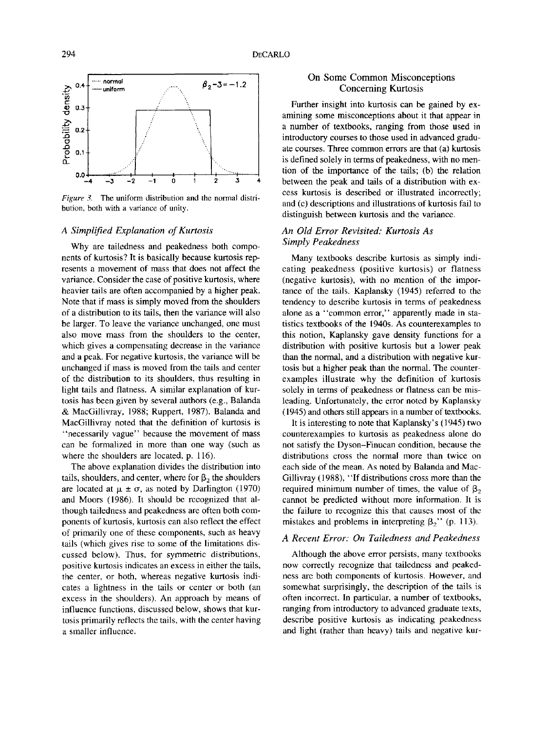

*Figure 3.* The uniform distribution and the normal distribution, both with a variance of unity.

#### *A Simplified Explanation of Kurtosis*

Why are tailedness and peakedness both components of kurtosis? It is basically because kurtosis represents a movement of mass that does not affect the variance. Consider the case of positive kurtosis, where heavier tails are often accompanied by a higher peak. Note that if mass is simply moved from the shoulders of a distribution to its tails, then the variance will also be larger. To leave the variance unchanged, one must also move mass from the shoulders to the center, which gives a compensating decrease in the variance and a peak. For negative kurtosis, the variance will be unchanged if mass is moved from the tails and center of the distribution to its shoulders, thus resulting in light tails and flatness. A similar explanation of kurtosis has been given by several authors (e.g., Balanda & MacGillivray, 1988; Ruppert, 1987). Balanda and MacGillivray noted that the definition of kurtosis is "necessarily vague" because the movement of mass can be formalized in more than one way (such as where the shoulders are located, p. 116).

The above explanation divides the distribution into tails, shoulders, and center, where for  $\beta_2$  the shoulders are located at  $\mu \pm \sigma$ , as noted by Darlington (1970) and Moors (1986). It should be recognized that although tailedness and peakedness are often both components of kurtosis, kurtosis can also reflect the effect of primarily one of these components, such as heavy tails (which gives rise to some of the limitations discussed below). Thus, for symmetric distributions, positive kurtosis indicates an excess in either the tails, the center, or both, whereas negative kurtosis indicates a lightness in the tails or center or both (an excess in the shoulders). An approach by means of influence functions, discussed below, shows that kurtosis primarily reflects the tails, with the center having a smaller influence.

## On Some Common Misconceptions Concerning Kurtosis

Further insight into kurtosis can be gained by examining some misconceptions about it that appear in a number of textbooks, ranging from those used in introductory courses to those used in advanced graduate courses. Three common errors are that (a) kurtosis is defined solely in terms of peakedness, with no mention of the importance of the tails; (b) the relation between the peak and tails of a distribution with excess kurtosis is described or illustrated incorrectly; and (c) descriptions and illustrations of kurtosis fail to distinguish between kurtosis and the variance.

## *An Old Error Revisited: Kurtosis As Simply Peakedness*

Many textbooks describe kurtosis as simply indicating peakedness (positive kurtosis) or flatness (negative kurtosis), with no mention of the importance of the tails. Kaplansky (1945) referred to the tendency to describe kurtosis in terms of peakedness alone as a "common error," apparently made in statistics textbooks of the 1940s. As counterexamples to this notion, Kaplansky gave density functions for a distribution with positive kurtosis but a lower peak than the normal, and a distribution with negative kurtosis but a higher peak than the normal. The counterexamples illustrate why the definition of kurtosis solely in terms of peakedness or flatness can be misleading. Unfortunately, the error noted by Kaplansky (1945) and others still appears in a number of textbooks.

It is interesting to note that Kaplansky's (1945) two counterexamples to kurtosis as peakedness alone do not satisfy the Dyson-Finucan condition, because the distributions cross the normal more than twice on each side of the mean. As noted by Balanda and Mac-Gillivray (1988), "If distributions cross more than the required minimum number of times, the value of  $\beta_2$ cannot be predicted without more information. It is the failure to recognize this that causes most of the mistakes and problems in interpreting  $\beta_2$ " (p. 113).

# *A Recent Error: On Tailedness and Peakedness*

Although the above error persists, many textbooks now correctly recognize that tailedness and peakedness are both components of kurtosis. However, and somewhat surprisingly, the description of the tails is often incorrect. In particular, a number of textbooks, ranging from introductory to advanced graduate texts, describe positive kurtosis as indicating peakedness and light (rather than heavy) tails and negative kur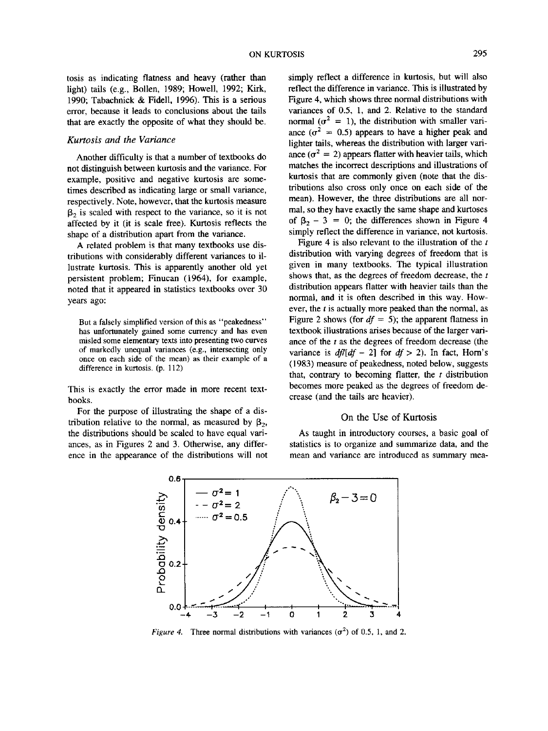tosis as indicating flatness and heavy (rather than light) tails (e.g., Bollen, 1989; Howell, 1992; Kirk, 1990; Tabachnick & Fidell, 1996). This is a serious error, because it leads to conclusions about the tails that are exactly the opposite of what they should be.

## *Kurtosis and the Variance*

Another difficulty is that a number of textbooks do not distinguish between kurtosis and the variance. For example, positive and negative kurtosis are sometimes described as indicating large or small variance, respectively. Note, however, that the kurtosis measure  $\beta_2$  is scaled with respect to the variance, so it is not affected by it (it is scale free). Kurtosis reflects the shape of a distribution apart from the variance.

A related problem is that many textbooks use distributions with considerably different variances to illustrate kurtosis. This is apparently another old yet persistent problem; Finucan (1964), for example, noted that it appeared in statistics textbooks over 30 years ago:

But a falsely simplified version of this as "peakedness" has unfortunately gained some currency and has even misled some elementary texts into presenting two curves of markedly unequal variances (e.g., intersecting only once on each side of the mean) as their example of a difference in kurtosis. (p. 112)

This is exactly the error made in more recent textbooks.

For the purpose of illustrating the shape of a distribution relative to the normal, as measured by  $\beta_2$ , the distributions should be scaled to have equal variances, as in Figures 2 and 3. Otherwise, any difference in the appearance of the distributions will not simply reflect a difference in kurtosis, but will also reflect the difference in variance. This is illustrated by Figure 4, which shows three normal distributions with variances of 0.5, 1, and 2. Relative to the standard normal ( $\sigma^2 = 1$ ), the distribution with smaller variance  $(\sigma^2 = 0.5)$  appears to have a higher peak and lighter tails, whereas the distribution with larger variance ( $\sigma^2 = 2$ ) appears flatter with heavier tails, which matches the incorrect descriptions and illustrations of kurtosis that are commonly given (note that the distributions also cross only once on each side of the mean). However, the three distributions are all normal, so they have exactly the same shape and kurtoses of  $\beta_2$  - 3 = 0; the differences shown in Figure 4 simply reflect the difference in variance, not kurtosis.

Figure 4 is also relevant to the illustration of the  $t$ distribution with varying degrees of freedom that is given in many textbooks. The typical illustration shows that, as the degrees of freedom decrease, the  $t$ distribution appears flatter with heavier tails than the normal, and it is often described in this way. However, the  $t$  is actually more peaked than the normal, as Figure 2 shows (for  $df = 5$ ); the apparent flatness in textbook illustrations arises because of the larger variance of the  $t$  as the degrees of freedom decrease (the variance is  $df/df - 2$  for  $df > 2$ ). In fact, Horn's (1983) measure of peakedness, noted below, suggests that, contrary to becoming flatter, the  $t$  distribution becomes more peaked as the degrees of freedom decrease (and the tails are heavier).

## On the Use of Kurtosis

As taught in introductory courses, a basic goal of statistics is to organize and summarize data, and the mean and variance are introduced as summary mea-



*Figure 4.* Three normal distributions with variances  $(\sigma^2)$  of 0.5, 1, and 2.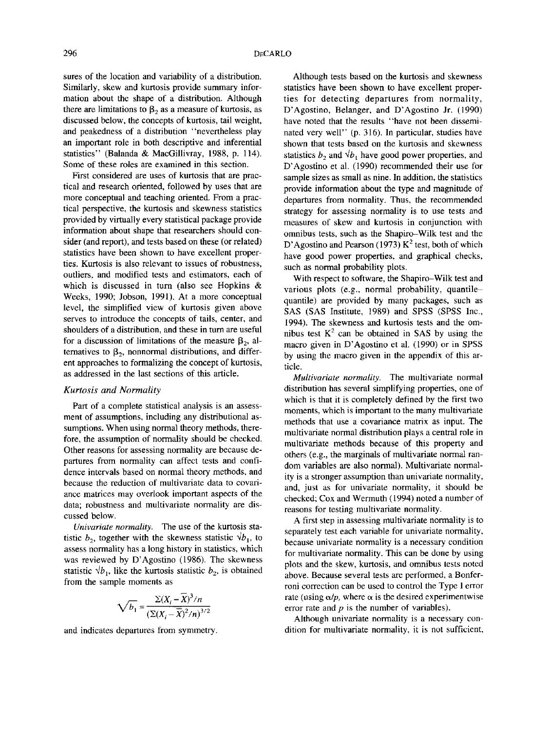sures of the location and variability of a distribution. Similarly, skew and kurtosis provide summary information about the shape of a distribution. Although there are limitations to  $\beta_2$  as a measure of kurtosis, as discussed below, the concepts of kurtosis, tail weight, and peakedness of a distribution "nevertheless play an important role in both descriptive and inferential statistics" (Balanda & MacGillivray, 1988, p. 114). Some of these roles are examined in this section.

First considered are uses of kurtosis that are practical and research oriented, followed by uses that are more conceptual and teaching oriented. From a practical perspective, the kurtosis and skewness statistics provided by virtually every statistical package provide information about shape that researchers should consider (and report), and tests based on these (or related) statistics have been shown to have excellent properties. Kurtosis is also relevant to issues of robustness, outliers, and modified tests and estimators, each of which is discussed in turn (also see Hopkins & Weeks, 1990; Jobson, 1991). At a more conceptual level, the simplified view of kurtosis given above serves to introduce the concepts of tails, center, and shoulders of a distribution, and these in turn are useful for a discussion of limitations of the measure  $\beta_2$ , alternatives to  $\beta_2$ , nonnormal distributions, and different approaches to formalizing the concept of kurtosis, as addressed in the last sections of this article.

#### *Kurtosis and Normality*

Part of a complete statistical analysis is an assessment of assumptions, including any distributional assumptions. When using normal theory methods, therefore, the assumption of normality should be checked. Other reasons for assessing normality are because departures from normality can affect tests and confidence intervals based on normal theory methods, and because the reduction of multivariate data to covariance matrices may overlook important aspects of the data; robustness and multivariate normality are discussed below.

*Univariate normality.* The use of the kurtosis statistic  $b_2$ , together with the skewness statistic  ${\forall} b_1$ , to assess normality has a long history in statistics, which was reviewed by D'Agostino (1986). The skewness statistic  ${\forall} b_1$ , like the kurtosis statistic  $b_2$ , is obtained from the sample moments as

$$
\sqrt{b_1} = \frac{\sum (X_i - \overline{X})^3/n}{\left(\sum (X_i - \overline{X})^2/n\right)^{3/2}}
$$

and indicates departures from symmetry.

Although tests based on the kurtosis and skewness statistics have been shown to have excellent properties for detecting departures from normality, D'Agostino, Belanger, and D'Agostino Jr. (1990) have noted that the results "have not been disseminated very well" (p. 316). In particular, studies have shown that tests based on the kurtosis and skewness statistics  $b_2$  and  $\sqrt{b_1}$  have good power properties, and D'Agostino et al. (1990) recommended their use for sample sizes as small as nine. In addition, the statistics provide information about the type and magnitude of departures from normality. Thus, the recommended strategy for assessing normality is to use tests and measures of skew and kurtosis in conjunction with omnibus tests, such as the Shapiro-Wilk test and the D' Agostino and Pearson (1973)  $K^2$  test, both of which have good power properties, and graphical checks, such as normal probability plots.

With respect to software, the Shapiro-Wilk test and various plots (e.g., normal probability, quantilequantile) are provided by many packages, such as SAS (SAS Institute, 1989) and SPSS (SPSS Inc., 1994). The skewness and kurtosis tests and the omnibus test  $K^2$  can be obtained in SAS by using the macro given in D'Agostino et al. (1990) or in SPSS by using the macro given in the appendix of this article.

*Multivariate normality.* The multivariate normal distribution has several simplifying properties, one of which is that it is completely defined by the first two moments, which is important to the many multivariate methods that use a covariance matrix as input. The multivariate normal distribution plays a central role in multivariate methods because of this property and others (e.g., the marginals of multivariate normal random variables are also normal). Multivariate normality is a stronger assumption than univariate normality, and, just as for univariate normality, it should be checked; Cox and Wermuth (1994) noted a number of reasons for testing multivariate normality.

A first step in assessing multivariate normality is to separately test each variable for univariate normality, because univariate normality is a necessary condition for multivariate normality. This can be done by using plots and the skew, kurtosis, and omnibus tests noted above. Because several tests are performed, a Bonferroni correction can be used to control the Type I error rate (using  $\alpha/p$ , where  $\alpha$  is the desired experimentwise error rate and  $p$  is the number of variables).

Although univariate normality is a necessary condition for multivariate normality, it is not sufficient,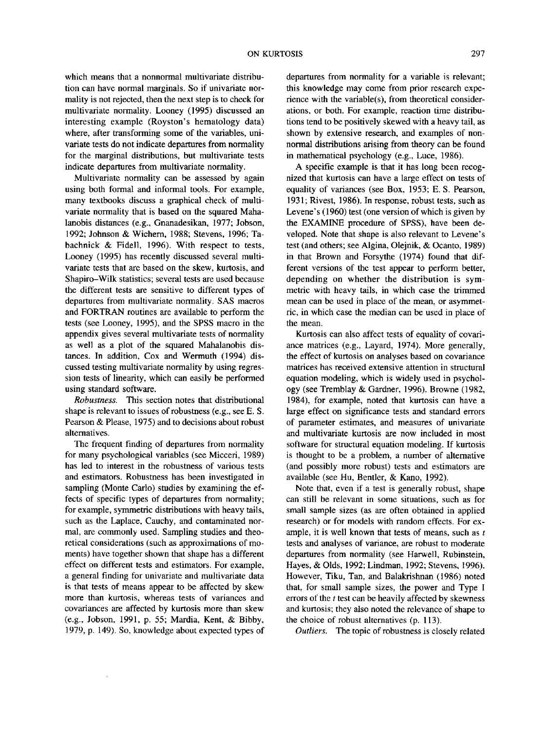which means that a nonnormal multivariate distribution can have normal marginals. So if univariate normality is not rejected, then the next step is to check for multivariate normality. Looney (1995) discussed an interesting example (Royston's hematology data) where, after transforming some of the variables, univariate tests do not indicate departures from normality for the marginal distributions, but multivariate tests indicate departures from multivariate normality.

Multivariate normality can be assessed by again using both formal and informal tools. For example, many textbooks discuss a graphical check of multivariate normality that is based on the squared Mahalanobis distances (e.g., Gnanadesikan, 1977; Jobson, 1992; Johnson & Wichern, 1988; Stevens, 1996; Tabachnick & Fidell, 1996). With respect to tests, Looney (1995) has recently discussed several multivariate tests that are based on the skew, kurtosis, and Shapiro-Wilk statistics; several tests are used because the different tests are sensitive to different types of departures from multivariate normality. SAS macros and FORTRAN routines are available to perform the tests (see Looney, 1995), and the SPSS macro in the appendix gives several multivariate tests of normality as well as a plot of the squared Mahalanobis distances. In addition, Cox and Wermuth (1994) discussed testing multivariate normality by using regression tests of linearity, which can easily be performed using standard software.

*Robustness.* This section notes that distributional shape is relevant to issues of robustness (e.g., see E. S. Pearson & Please, 1975) and to decisions about robust alternatives.

The frequent finding of departures from normality for many psychological variables (see Micceri, 1989) has led to interest in the robustness of various tests and estimators. Robustness has been investigated in sampling (Monte Carlo) studies by examining the effects of specific types of departures from normality; for example, symmetric distributions with heavy tails, such as the Laplace, Cauchy, and contaminated normal, are commonly used. Sampling studies and theoretical considerations (such as approximations of moments) have together shown that shape has a different effect on different tests and estimators. For example, a general finding for univariate and multivariate data is that tests of means appear to be affected by skew more than kurtosis, whereas tests of variances and covariances are affected by kurtosis more than skew (e.g., Jobson, 1991, p. 55; Mardia, Kent, & Bibby, 1979, p. 149). So, knowledge about expected types of

departures from normality for a variable is relevant; this knowledge may come from prior research experience with the variable(s), from theoretical considerations, or both. For example, reaction time distributions tend to be positively skewed with a heavy tail, as shown by extensive research, and examples of nonnormal distributions arising from theory can be found in mathematical psychology (e.g., Luce, 1986).

A specific example is that it has long been recognized that kurtosis can have a large effect on tests of equality of variances (see Box, 1953; E. S. Pearson, 1931; Rivest, 1986). In response, robust tests, such as Levene's (1960) test (one version of which is given by the EXAMINE procedure of SPSS), have been developed. Note that shape is also relevant to Levene's test (and others; see Algina, Olejnik, & Ocanto, 1989) in that Brown and Forsythe (1974) found that different versions of the test appear to perform better, depending on whether the distribution is symmetric with heavy tails, in which case the trimmed mean can be used in place of the mean, or asymmetric, in which case the median can be used in place of the mean.

Kurtosis can also affect tests of equality of covariance matrices (e.g., Layard, 1974). More generally, the effect of kurtosis on analyses based on covariance matrices has received extensive attention in structural equation modeling, which is widely used in psychology (see Tremblay & Gardner, 1996). Browne (1982, 1984), for example, noted that kurtosis can have a large effect on significance tests and standard errors of parameter estimates, and measures of univariate and multivariate kurtosis are now included in most software for structural equation modeling. If kurtosis is thought to be a problem, a number of alternative (and possibly more robust) tests and estimators are available (see Hu, Bentler, & Kano, 1992).

Note that, even if a test is generally robust, shape can still be relevant in some situations, such as for small sample sizes (as are often obtained in applied research) or for models with random effects. For example, it is well known that tests of means, such as  $t$ tests and analyses of variance, are robust to moderate departures from normality (see Harwell, Rubinstein, Hayes, & Olds, 1992; Lindman, 1992; Stevens, 1996). However, Tiku, Tan, and Balakrishnan (1986) noted that, for small sample sizes, the power and Type I errors of the  $t$  test can be heavily affected by skewness and kurtosis; they also noted the relevance of shape to the choice of robust alternatives (p. 113).

*Outliers.* The topic of robustness is closely related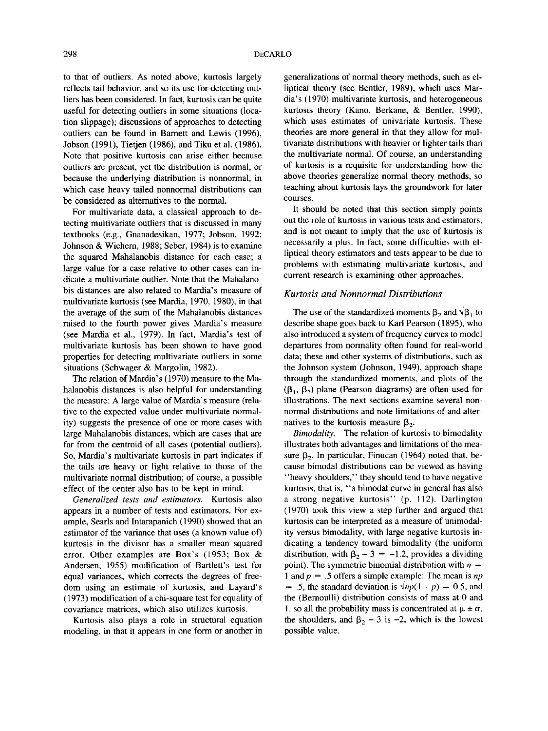to that of outliers. As noted above, kurtosis largely reflects tail behavior, and so its use for detecting outliers has been considered. In fact, kurtosis can be quite useful for detecting outliers in some situations (location slippage); discussions of approaches to detecting outliers can be found in Barnett and Lewis (1996), Jobson (1991), Tietjen (1986), and Tiku et al. (1986). Note that positive kurtosis can arise either because outliers are present, yet the distribution is normal, or because the underlying distribution is nonnormal, in which case heavy tailed nonnormal distributions can be considered as alternatives to the normal.

For multivariate data, a classical approach to detecting multivariate outliers that is discussed in many textbooks (e.g., Gnanadesikan, 1977; Jobson, 1992; Johnson & Wichern, 1988; Seber, 1984) is to examine the squared Mahalanobis distance for each case; a large value for a case relative to other cases can indicate a multivariate outlier. Note that the Mahalanobis distances are also related to Mardia's measure of multivariate kurtosis (see Mardia, 1970, 1980), in that the average of the sum of the Mahalanobis distances raised to the fourth power gives Mardia's measure (see Mardia et al., 1979). In fact, Mardia's test of multivariate kurtosis has been shown to have good properties for detecting multivariate outliers in some situations (Schwager & Margolin, 1982).

The relation of Mardia's (1970) measure to the Mahalanobis distances is also helpful for understanding the measure: A large value of Mardia's measure (relative to the expected value under multivariate normality) suggests the presence of one or more cases with large Mahalanobis distances, which are cases that are far from the centroid of all cases (potential outliers). So, Mardia's multivariate kurtosis in part indicates if the tails are heavy or light relative to those of the multivariate normal distribution; of course, a possible effect of the center also has to be kept in mind.

*Generalized tests and estimators.* Kurtosis also appears in a number of tests and estimators. For example, Searls and Intarapanich (1990) showed that an estimator of the variance that uses (a known value of) kurtosis in the divisor has a smaller mean squared error. Other examples are Box's (1953; Box & Andersen, 1955) modification of Bartlett's test for equal variances, which corrects the degrees of freedom using an estimate of kurtosis, and Layard's (1973) modification of a chi-square test for equality of covariance matrices, which also utilizes kurtosis.

Kurtosis also plays a role in structural equation modeling, in that it appears in one form or another in generalizations of normal theory methods, such as elliptical theory (see Bentler, 1989), which uses Mardia's (1970) multivariate kurtosis, and heterogeneous kurtosis theory (Kano, Berkane, & Bentler, 1990), which uses estimates of univariate kurtosis. These theories are more general in that they allow for multivariate distributions with heavier or lighter tails than the multivariate normal. Of course, an understanding of kurtosis is a requisite for understanding how the above theories generalize normal theory methods, so teaching about kurtosis lays the groundwork for later courses.

It should be noted that this section simply points out the role of kurtosis in various tests and estimators, and is not meant to imply that the use of kurtosis is necessarily a plus. In fact, some difficulties with elliptical theory estimators and tests appear to be due to problems with estimating multivariate kurtosis, and current research is examining other approaches.

#### *Kurtosis and Nonnormal Distributions*

The use of the standardized moments  $\beta_2$  and  $\sqrt{3}$ <sub>1</sub> to describe shape goes back to Karl Pearson (1895), who also introduced a system of frequency curves to model departures from normality often found for real-world data; these and other systems of distributions, such as the Johnson system (Johnson, 1949), approach shape through the standardized moments, and plots of the  $(\beta_1, \beta_2)$  plane (Pearson diagrams) are often used for illustrations. The next sections examine several nonnormal distributions and note limitations of and alternatives to the kurtosis measure  $\beta_2$ .

*Bimodality.* The relation of kurtosis to bimodality illustrates both advantages and limitations of the measure  $\beta_2$ . In particular, Finucan (1964) noted that, because bimodal distributions can be viewed as having "heavy shoulders," they should tend to have negative kurtosis, that is, "a bimodal curve in general has also a strong negative kurtosis" (p. 112). Darlington (1970) took this view a step further and argued that kurtosis can be interpreted as a measure of unimodality versus bimodality, with large negative kurtosis indicating a tendency toward bimodality (the uniform distribution, with  $\beta_2 - 3 = -1.2$ , provides a dividing point). The symmetric binomial distribution with  $n =$ 1 and p = .5 offers a simple example: The mean is *np*   $= .5$ , the standard deviation is  $\sqrt{np(1-p)} = 0.5$ , and the (Bernoulli) distribution consists of mass at 0 and 1, so all the probability mass is concentrated at  $\mu \pm \sigma$ , the shoulders, and  $\beta_2 - 3$  is -2, which is the lowest possible value.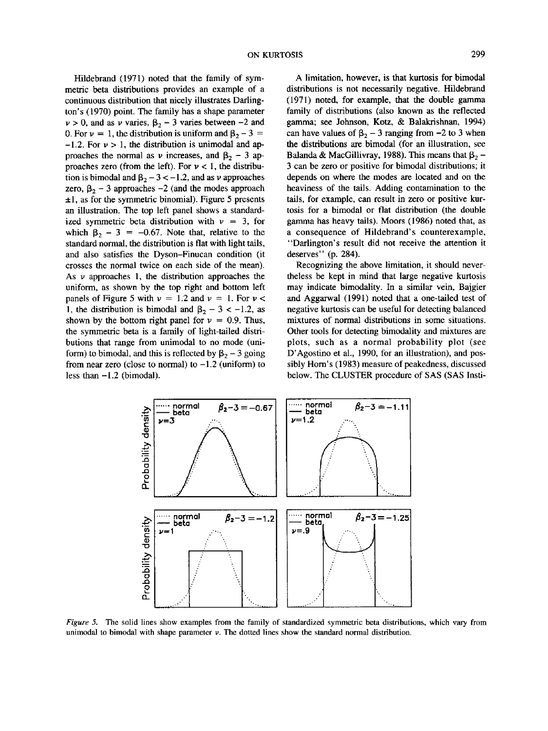Hildebrand (1971) noted that the family of symmetric beta distributions provides an example of a continuous distribution that nicely illustrates Darlington's (1970) point. The family has a shape parameter  $\nu > 0$ , and as  $\nu$  varies,  $\beta_2 - 3$  varies between -2 and 0. For  $\nu = 1$ , the distribution is uniform and  $\beta_2 - 3 =$  $-1.2$ . For  $\nu > 1$ , the distribution is unimodal and approaches the normal as v increases, and  $\beta_2$  - 3 approaches zero (from the left). For  $\nu < 1$ , the distribution is bimodal and  $\beta_2 - 3 < -1.2$ , and as v approaches zero,  $\beta_2$  - 3 approaches -2 (and the modes approach  $\pm 1$ , as for the symmetric binomial). Figure 5 presents an illustration. The top left panel shows a standardized symmetric beta distribution with  $v = 3$ , for which  $\beta_2$  - 3 = -0.67. Note that, relative to the standard normal, the distribution is flat with light tails, and also satisfies the Dyson-Finucan condition (it crosses the normal twice on each side of the mean). As  $\nu$  approaches 1, the distribution approaches the uniform, as shown by the top fight and bottom left panels of Figure 5 with  $v = 1.2$  and  $v = 1$ . For  $v <$ 1, the distribution is bimodal and  $\beta_2 - 3 < -1.2$ , as shown by the bottom right panel for  $v = 0.9$ . Thus, the symmetric beta is a family of light-tailed distributions that range from unimodal to no mode (uniform) to bimodal, and this is reflected by  $\beta_2 - 3$  going from near zero (close to normal) to  $-1.2$  (uniform) to less than  $-1.2$  (bimodal).

A limitation, however, is that kurtosis for bimodal distributions is not necessarily negative. Hildebrand (1971) noted, for example, that the double gamma family of distributions (also known as the reflected gamma; see Johnson, Kotz, & Balakrishnan, 1994) can have values of  $\beta_2$  - 3 ranging from -2 to 3 when the distributions are bimodal (for an illustration, see Balanda & MacGillivray, 1988). This means that  $\beta_2$  -3 can be zero or positive for bimodal distributions; it depends on where the modes are located and on the heaviness of the tails. Adding contamination to the tails, for example, can result in zero or positive kurtosis for a bimodal or flat distribution (the double gamma has heavy tails). Moors (1986) noted that, as a consequence of Hildebrand's counterexample, "Darlington's result did not receive the attention it deserves" (p. 284).

Recognizing the above limitation, it should nevertheless be kept in mind that large negative kurtosis may indicate bimodality. In a similar vein, Bajgier and Aggarwal (1991) noted that a one-tailed test of negative kurtosis can be useful for detecting balanced mixtures of normal distributions in some situations. Other tools for detecting bimodality and mixtures are plots, such as a normal probability plot (see D'Agostino et al., 1990, for an illustration), and possibly Horn's (1983) measure of peakedness, discussed below. The CLUSTER procedure of SAS (SAS Insti-



*Figure 5. The* solid lines show examples from the family of standardized symmetric beta distributions, which vary from unimodal to bimodal with shape parameter v. The dotted lines show the standard normal distribution.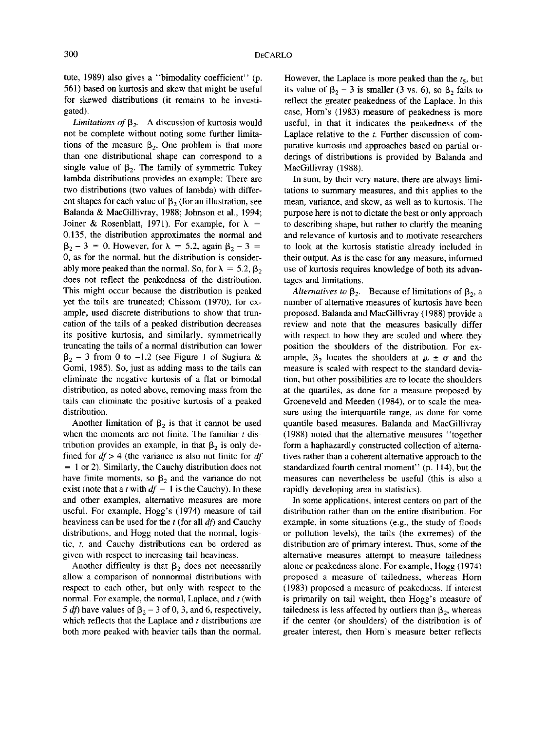tute, 1989) also gives a "bimodality coefficient" (p. 561) based on kurtosis and skew that might be useful for skewed distributions (it remains to be investigated).

*Limitations of*  $\beta_2$ . A discussion of kurtosis would not be complete without noting some further limitations of the measure  $\beta_2$ . One problem is that more than one distributional shape can correspond to a single value of  $\beta_2$ . The family of symmetric Tukey lambda distributions provides an example: There are two distributions (two values of lambda) with different shapes for each value of  $\beta_2$  (for an illustration, see Balanda & MacGillivray, 1988; Johnson et al., 1994; Joiner & Rosenblatt, 1971). For example, for  $\lambda$  = 0.135, the distribution approximates the normal and  $\beta_2 - 3 = 0$ . However, for  $\lambda = 5.2$ , again  $\beta_2 - 3 =$ 0, as for the normal, but the distribution is considerably more peaked than the normal. So, for  $\lambda = 5.2$ ,  $\beta_2$ does not reflect the peakedness of the distribution. This might occur because the distribution is peaked yet the tails are truncated; Chissom (1970), for example, used discrete distributions to show that truncation of the tails of a peaked distribution decreases its positive kurtosis, and similarly, symmetrically truncating the tails of a normal distribution can lower  $\beta_2$  - 3 from 0 to -1.2 (see Figure 1 of Sugiura & Gomi, 1985). So, just as adding mass to the tails can eliminate the negative kurtosis of a flat or bimodal distribution, as noted above, removing mass from the tails can eliminate the positive kurtosis of a peaked distribution.

Another limitation of  $\beta_2$  is that it cannot be used when the moments are not finite. The familiar  $t$  distribution provides an example, in that  $\beta_2$  is only defined for *df* > 4 (the variance is also not finite for *df*   $= 1$  or 2). Similarly, the Cauchy distribution does not have finite moments, so  $\beta_2$  and the variance do not exist (note that a t with  $df = 1$  is the Cauchy). In these and other examples, alternative measures are more useful. For example, Hogg's (1974) measure of tail heaviness can be used for the  $t$  (for all  $df$ ) and Cauchy distributions, and Hogg noted that the normal, logistic, t, and Cauchy distributions can be ordered as given with respect to increasing tail heaviness.

Another difficulty is that  $\beta_2$  does not necessarily allow a comparison of nonnormal distributions with respect to each other, but only with respect to the normal. For example, the normal, Laplace, and  $t$  (with 5 df) have values of  $\beta_2$  – 3 of 0, 3, and 6, respectively, which reflects that the Laplace and  $t$  distributions are both more peaked with heavier tails than the normal.

However, the Laplace is more peaked than the  $t_5$ , but its value of  $\beta_2 - 3$  is smaller (3 vs. 6), so  $\beta_2$  fails to reflect the greater peakedness of the Laplace. In this case, Horn's (1983) measure of peakedness is more useful, in that it indicates the peakedness of the Laplace relative to the  $t$ . Further discussion of comparative kurtosis and approaches based on partial orderings of distributions is provided by Balanda and MacGillivray (1988).

In sum, by their very nature, there are always limitations to summary measures, and this applies to the mean, variance, and skew, as well as to kurtosis. The purpose here is not to dictate the best or only approach to describing shape, but rather to clarify the meaning and relevance of kurtosis and to motivate researchers to look at the kurtosis statistic already included in their output. As is the case for any measure, informed use of kurtosis requires knowledge of both its advantages and limitations.

*Alternatives to*  $\beta_2$ . Because of limitations of  $\beta_2$ , a number of alternative measures of kurtosis have been proposed. Balanda and MacGillivray (1988) provide a review and note that the measures basically differ with respect to how they are scaled and where they position the shoulders of the distribution. For example,  $\beta_2$  locates the shoulders at  $\mu \pm \sigma$  and the measure is scaled with respect to the standard deviation, but other possibilities are to locate the shoulders at the quartiles, as done for a measure proposed by Groeneveld and Meeden (1984), or to scale the measure using the interquartile range, as done for some quantile based measures. Balanda and MacGillivray (1988) noted that the alternative measures "together form a haphazardly constructed collection of altematives rather than a coherent alternative approach to the standardized fourth central moment" (p. 114), but the measures can nevertheless be useful (this is also a rapidly developing area in statistics).

In some applications, interest centers on part of the distribution rather than on the entire distribution. For example, in some situations (e.g., the study of floods or pollution levels), the tails (the extremes) of the distribution are of primary interest. Thus, some of the alternative measures attempt to measure tailedness alone or peakedness alone. For example, Hogg (1974) proposed a measure of tailedness, whereas Horn (1983) proposed a measure of peakedness. If interest is primarily on tail weight, then Hogg's measure of tailedness is less affected by outliers than  $\beta_2$ , whereas if the center (or shoulders) of the distribution is of greater interest, then Horn's measure better reflects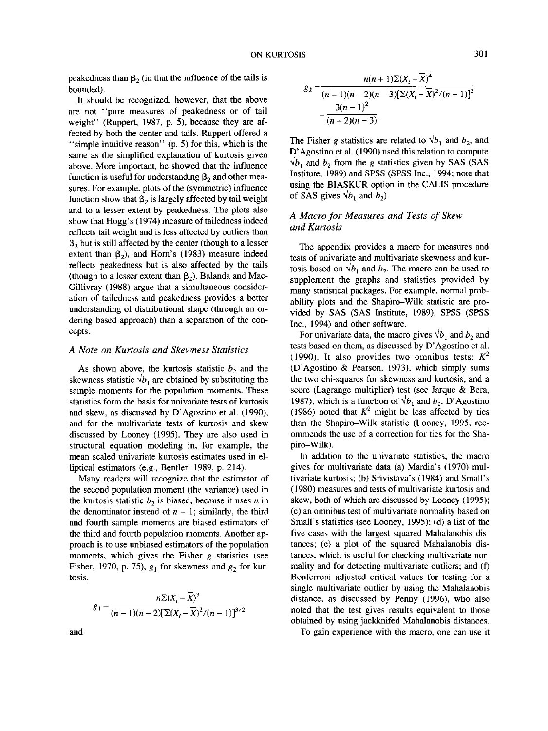peakedness than  $\beta_2$  (in that the influence of the tails is bounded).

It should be recognized, however, that the above are not "pure measures of peakedness or of tail weight" (Ruppert, 1987, p. 5), because they are affected by both the center and tails. Ruppert offered a "simple intuitive reason" (p. 5) for this, which is the same as the simplified explanation of kurtosis given above. More important, he showed that the influence function is useful for understanding  $\beta_2$  and other measures. For example, plots of the (symmetric) influence function show that  $\beta_2$  is largely affected by tail weight and to a lesser extent by peakedness. The plots also show that Hogg's (1974) measure of tailedness indeed reflects tail weight and is less affected by outliers than  $\beta_2$  but is still affected by the center (though to a lesser extent than  $\beta_2$ ), and Horn's (1983) measure indeed reflects peakedness but is also affected by the tails (though to a lesser extent than  $\beta_2$ ). Balanda and Mac-Gillivray (1988) argue that a simultaneous consideration of tailedness and peakedness provides a better understanding of distributional shape (through an ordering based approach) than a separation of the concepts.

#### *A Note on Kurtosis and Skewness Statistics*

As shown above, the kurtosis statistic  $b_2$  and the skewness statistic  $\sqrt{b_1}$  are obtained by substituting the sample moments for the population moments. These statistics form the basis for univariate tests of kurtosis and skew, as discussed by D'Agostino et al. (1990), and for the multivariate tests of kurtosis and skew discussed by Looney (1995). They are also used in structural equation modeling in, for example, the mean scaled univariate kurtosis estimates used in elliptical estimators (e.g., Bentler, 1989, p. 214).

Many readers will recognize that the estimator of the second population moment (the variance) used in the kurtosis statistic  $b_2$  is biased, because it uses n in the denominator instead of  $n - 1$ ; similarly, the third and fourth sample moments are biased estimators of the third and fourth population moments. Another approach is to use unbiased estimators of the population moments, which gives the Fisher  $g$  statistics (see Fisher, 1970, p. 75),  $g_1$  for skewness and  $g_2$  for kurtosis,

$$
g_1 = \frac{n\Sigma(X_i - X)^3}{(n-1)(n-2)[\Sigma(X_i - \overline{X})^2/(n-1)]^{3/2}}
$$

$$
g_2 = \frac{n(n+1)\Sigma(X_i - \overline{X})^4}{(n-1)(n-2)(n-3)[\Sigma(X_i - \overline{X})^2/(n-1)]^2} - \frac{3(n-1)^2}{(n-2)(n-3)}.
$$

The Fisher g statistics are related to  $\sqrt{b_1}$  and  $b_2$ , and D'Agostino et al. (1990) used this relation to compute  $\sqrt{b_1}$  and  $b_2$  from the g statistics given by SAS (SAS) Institute, 1989) and SPSS (SPSS Inc., 1994; note that using the BIASKUR option in the CALIS procedure of SAS gives  $\forall b_1$  and  $b_2$ ).

## *A Macro for Measures and Tests of Skew and Kurtosis*

The appendix provides a macro for measures and tests of univariate and multivariate skewness and kurtosis based on  $\forall b_1$  and  $b_2$ . The macro can be used to supplement the graphs and statistics provided by many statistical packages. For example, normal probability plots and the Shapiro-Wilk statistic are provided by SAS (SAS Institute, 1989), SPSS (SPSS Inc., 1994) and other software.

For univariate data, the macro gives  $\sqrt{b_1}$  and  $b_2$  and tests based on them, as discussed by D'Agostino et al. (1990). It also provides two omnibus tests:  $K^2$ (D'Agostino & Pearson, 1973), which simply sums the two chi-squares for skewness and kurtosis, and a score (Lagrange multiplier) test (see Jarque & Bera, 1987), which is a function of  $\sqrt{b_1}$  and  $b_2$ . D'Agostino (1986) noted that  $K^2$  might be less affected by ties than the Shapiro-Wilk statistic (Looney, 1995, recommends the use of a correction for ties for the Shapiro-Wilk).

In addition to the univariate statistics, the macro gives for multivariate data (a) Mardia's (1970) multivariate kurtosis; (b) Srivistava's (1984) and Small's (1980) measures and tests of multivariate kurtosis and skew, both of which are discussed by Looney (1995); (c) an omnibus test of multivariate normality based on Small's statistics (see Looney, 1995); (d) a list of the five cases with the largest squared Mahalanobis distances; (e) a plot of the squared Mahalanobis distances, which is useful for checking multivariate normality and for detecting multivariate outliers; and (f) Bonferroni adjusted critical values for testing for a single multivariate outlier by using the Mahalanobis distance, as discussed by Penny (1996), who also noted that the test gives results equivalent to those obtained by using jackknifed Mahalanobis distances.

To gain experience with the macro, one can use it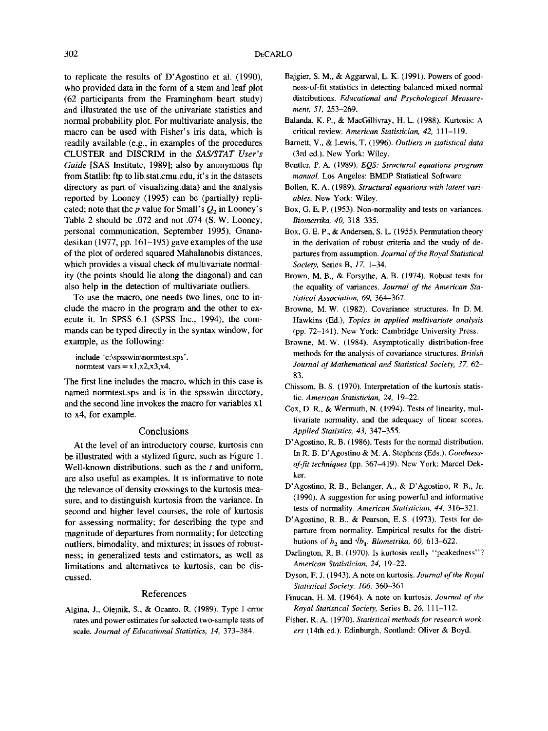to replicate the results of D'Agostino et al. (1990), who provided data in the form of a stem and leaf plot (62 participants from the Framingham heart study) and illustrated the use of the univariate statistics and normal probability plot. For multivariate analysis, the macro can be used with Fisher's iris data, which is readily available (e.g., in examples of the procedures CLUSTER and DISCRIM in the *SAS/STAT User's Guide* [SAS Institute, 1989]; also by anonymous ftp from Statlib: ftp to lib.stat.cmu.edu, it's in the datasets directory as part of visualizing.data) and the analysis reported by Looney (1995) can be (partially) replicated; note that the p value for Small's  $Q_2$  in Looney's Table 2 should be .072 and not .074 (S. W. Looney, personal communication, September 1995). Gnanadesikan (1977, pp. 161-195) gave examples of the use of the plot of ordered squared Mahalanobis distances, which provides a visual check of multivariate normality (the points should lie along the diagonal) and can also help in the detection of multivariate outliers.

To use the macro, one needs two lines, one to include the macro in the program and the other to execute it. In SPSS 6.1 (SPSS Inc., 1994), the commands can be typed directly in the syntax window, for example, as the following:

include 'c:\spsswin\normtest.sps'. normtest vars =  $x1, x2, x3, x4$ .

The first line includes the macro, which in this case is named normtest.sps and is in the spsswin directory, and the second line invokes the macro for variables x 1 to x4, for example.

#### **Conclusions**

At the level of an introductory course, kurtosis can be illustrated with a stylized figure, such as Figure 1. Well-known distributions, such as the  $t$  and uniform, are also useful as examples. It is informative to note the relevance of density crossings to the kurtosis measure, and to distinguish kurtosis from the variance. In second and higher level courses, the role of kurtosis for assessing normality; for describing the type and magnitude of departures from normality; for detecting outliers, bimodality, and mixtures; in issues of robustness; in generalized tests and estimators, as well as limitations and alternatives to kurtosis, can be discussed.

#### References

Algina, J., Olejnik, S., & Ocanto, R. (1989). Type I error rates and power estimates for selected two-sample tests of scale. *Journal of Educational Statistics, 14,* 373-384.

- Bajgier, S. M., & Aggarwal, L. K. (1991). Powers of goodness-of-fit statistics in detecting balanced mixed normal distributions. *Educational and Psychological Measurement, 51,* 253-269.
- Balanda, K. P., & MacGillivray, H. L. (1988). Kurtosis: A critical review. *American Statistician, 42,* 111-119.
- Barnett, V., & Lewis, T. (1996). *Outliers in statistical data*  (3rd ed.). New York: Wiley.
- Bentler, P. A. (1989). *EQS: Structural equations program manual.* Los Angeles: BMDP Statistical Software.
- Bollen, K. A. (1989). *Structural equations with latent variables.* New York: Wiley.
- Box, G. E. P. (1953). Non-normality and tests on variances. *Biometrika, 40,* 318-335.
- Box, G. E. P., & Andersen, S. L. (1955). Permutation theory in the derivation of robust criteria and the study of departures from assumption. *Journal of the Royal Statistical Society,* Series B, 17, 1-34.
- Brown, M. B., & Forsythe, A. B. (1974). Robust tests for the equality of variances. *Journal of the American Statistical Association, 69,* 364-367.
- Browne, M.W. (1982). Covariance structures. In D.M. Hawkins (Ed.), *Topics in applied multivariate analysis*  (pp. 72-141). New York: Cambridge University Press.
- Browne, M.W. (1984). Asymptotically distribution-free methods for the analysis of covariance structures. *British Journal of Mathematical and Statistical Society, 37,* 62- 83.
- Chissom, B. S. (1970). Interpretation of the kurtosis statistic. *American Statistician, 24,* 19-22.
- Cox, D. R., & Wermuth, N. (1994). Tests of linearity, multivariate normality, and the adequacy of linear scores. *Applied Statistics, 43,* 347-355.
- D'Agostino, R. B. (1986). Tests for the normal distribution. In R. B. D'Agostino & M. A. Stephens (Eds.). *Goodnessof-fit techniques* (pp. 367-419). New York: Marcel Dekker.
- D'Agostino, R. B., Belanger, A., & D'Agostino, R. B., Jr. (1990). A suggestion for using powerful and informative tests of normality. *American Statistician, 44,* 316-321.
- D'Agostino, R. B., & Pearson, E. S. (1973). Tests for departure from normality. Empirical results for the distributions of  $b_2$  and  $\sqrt{b_1}$ . Biometrika, 60, 613–622.
- Darlington, R. B. (1970). Is kurtosis really "peakedness"? *American Statistician, 24,* 19-22.
- Dyson, F. J. (1943). A note on kurtosis. *Journal of the Royal Statistical Society, 106,* 360-361.
- Finucan, H. M. (1964). A note on kurtosis. *Journal of the Royal Statistical Society,* Series B, *26,* 111-112.
- Fisher, R. A. (1970). *Statistical methods for research workers* (14th ed.). Edinburgh, Scotland: Oliver & Boyd.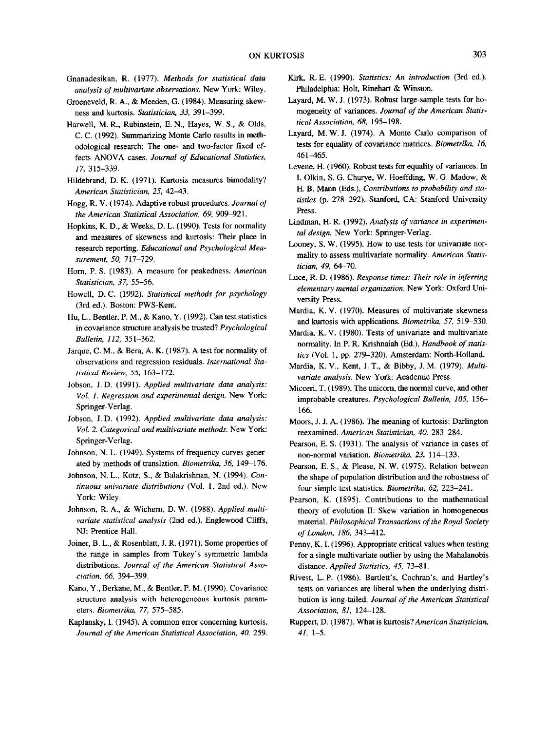- Gnanadesikan, R. (1977). *Methods for statistical data analysis of multivariate observations.* New York: Wiley.
- Groeneveld, R. A., & Meeden, G. (1984). Measuring skewness and kurtosis. *Statistician, 33,* 391-399.
- Harwell, M. R., Rubinstein, E. N., Hayes, W. S., & Olds, C. C. (1992). Summarizing Monte Carlo results in methodological research: The one- and two-factor fixed effects ANOVA cases. *Journal of Educational Statistics,*  17, 315-339.
- Hildebrand, D. K. (1971). Kurtosis measures bimodality? *American Statistician, 25,* 42-43.
- Hogg, R. V. (1974). Adaptive robust procedures. *Journal of the American Statistical Association, 69,* 909-921.
- Hopkins, K. D., & Weeks, D. L. (1990). Tests for normality and measures of skewness and kurtosis: Their place in research reporting. *Educational and Psychological Measurement, 50,* 717-729.
- Horn, P. S. (1983). A measure for peakedness. *American Statistician, 37,* 55-56.
- Howell, D.C. (1992). *Statistical methods for psychology*  (3rd ed.). Boston: PWS-Kent.
- Hu, L., Bentler, P. M., & Kano, Y. (1992). Can test statistics in covariance structure analysis be trusted? *Psychological Bulletin, 112,* 351-362.
- Jarque, C. M., & Bera, A. K. (1987). A test for normality of observations and regression residuals. *International Statistical Review, 55,* 163-172.
- Jobson, J.D. (1991). *Applied multivariate data analysis: Vol. 1. Regression and experimental design.* New York: Springer-Verlag.
- Jobson, J.D. (1992). *Applied multivariate data analysis: Vol. 2. Categorical and multivariate methods.* New York: Springer-Verlag.
- Johnson, N. L. (1949). Systems of frequency curves generated by methods of translation. *Biometrika, 36,* 149-176.
- Johnson, N. L., Kotz, S., & Balakrishnan, N. (1994). *Continuous univariate distributions* (Vol. l, 2nd ed.). New York: Wiley.
- Johnson, R. A., & Wichern, D.W. (1988). *Applied multivariate statistical analysis* (2nd ed.). Englewood Cliffs, NJ: Prentice Hall.
- Joiner, B. L., & Rosenblatt, J. R. (1971). Some properties of the range in samples from Tukey's symmetric lambda distributions. *Journal of the American Statistical Association, 66,* 394-399.
- Kano, Y., Berkane, M., & Bentler, P. M. (1990). Covariance structure analysis with heterogeneous kurtosis parameters. *Biometrika, 77,* 575-585.
- Kaplansky, I. (1945). A common error concerning kurtosis. *Journal of the American Statistical Association, 40,* 259.
- Kirk, R.E. (1990). *Statistics: An introduction* (3rd ed.). Philadelphia: Holt, Rinehart & Winston.
- Layard, M. W. J. (1973). Robust large-sample tests for homogeneity of variances. *Journal of the American Statistical Association, 68,* 195-198.
- Layard, M. W. J. (1974). A Monte Carlo comparison of tests for equality of covariance matrices. *Biometrika, 16,*  461-465.
- Levene, H. (1960). Robust tests for equality of variances. In I. Olkin, S. G. Churye, W. Hoeffding, W. G. Madow, & H. B. Mann (Eds.), *Contributions to probability and statistics* (p. 278-292). Stanford, CA: Stanford University Press.
- Lindman, H. R. (1992). *Analysis of variance in experimental design.* New York: Springer-Verlag.
- Looney, S. W. (1995). How to use tests for univariate normality to assess multivariate normality. *American Statistician, 49,* 64-70.
- Luce, R. D. (1986). *Response times: Their role in inferring elementary mental organization.* New York: Oxford University Press.
- Mardia, K. V. (1970). Measures of multivariate skewness and kurtosis with applications. *Biometrika, 57,* 519-530.
- Mardia, K. V. (1980). Tests of univariate and multivariate normality. In P. R. Krishnaiah (Ed.), *Handbook of statistics* (Vol. 1, pp. 279-320). Amsterdam: North-Holland.
- Mardia, K.V., Kent, J. T., & Bibby, J.M. (1979). *Multivariate analysis.* New York: Academic Press.
- Micceri, T. (1989). The unicorn, the normal curve, and other improbable creatures. *Psychological Bulletin, 105,* 156- 166.
- Moors, J. J. A. (1986). The meaning of kurtosis: Darlington reexamined. *American Statistician, 40,* 283-284.
- Pearson, E. S. (1931). The analysis of variance in cases of non-normal variation. *Biometrika, 23,* 114-133.
- Pearson, E. S., & Please, N. W. (1975). Relation between the shape of population distribution and the robustness of four simple test statistics. *Biometrika, 62,* 223-241.
- Pearson, K. (1895). Contributions to the mathematical theory of evolution II: Skew variation in homogeneous material. *Philosophical Transactions of the Royal Society of London, 186,* 343-412.
- Penny, K. I. (1996). Appropriate critical values when testing for a single multivariate outlier by using the Mahalanobis distance. *Applied Statistics, 45,* 73-81.
- Rivest, L.P. (1986). Bartlett's, Cochran's, and Hartley's tests on variances are liberal when the underlying distribution is long-tailed. *Journal of the American Statistical Association, 81,* 124-128.
- Ruppert, D. (1987). What is kurtosis? *American Statistician, 41,* 1-5.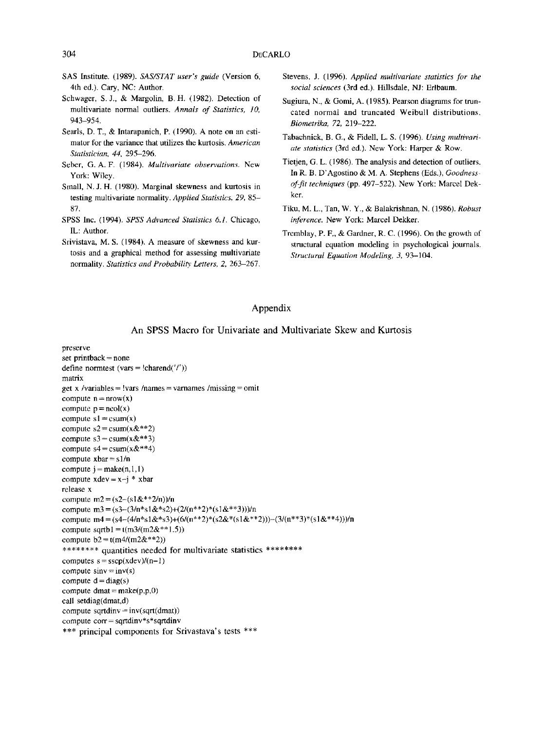- SAS Institute. (1989). *SAS/STAT user's guide* (Version 6, 4th ed.). Cary, NC: Author.
- Schwager, S. J., & Margolin, B. H. (1982). Detection of multivariate normal outliers. *Annals of Statistics, 10,*  943-954.
- Searls, D. T., & Intarapanich, P. (1990). A note on an estimator for the variance that utilizes the kurtosis. *American Statistician, 44,* 295-296.
- Seber, G. A. F. (1984). *Multivariate observations.* New York: Wiley.
- Small, N. J. H. (1980). Marginal skewness and kurtosis in testing multivariate normality. *Applied Statistics, 29,* 85- 87.
- SPSS Inc. (1994), *SPSS Advanced Statistics 6.1.* Chicago, IL: Author.
- Srivistava, M. S. (1984). A measure of skewness and kurtosis and a graphical method for assessing multivariate normality. *Statistics and Probability Letters, 2,* 263-267.
- Stevens, J. (1996). *Applied multivariate statistics for the social sciences* (3rd ed.). Hillsdale, NJ: Erlbaum.
- Sugiura, N., & Gomi, A. (1985). Pearson diagrams for truncated normal and truncated Weibull distributions. *Biometrika*, 72, 219-222.
- Tabachnick, B. G., & Fidell, L. S. (1996). *Using multivariate statistics* (3rd ed.). New York: Harper & Row.
- Tietjen, G. L. (1986). The analysis and detection of outliers. In R. B. D'Agostino & M. A. Stephens (Eds.), *Goodnessof-fit techniques* (pp. 497-522). New York: Marcel Dekker.
- Tiku, M. L., Tan, W. Y., & Balakrishnan, N. (1986). *Robust inference.* New York: Marcel Dekker.
- Tremblay, P. F., & Gardner, R. C. (1996). On the growth of structural equation modeling in psychological journals. *Structural Equation Modeling, 3,* 93-104.

## Appendix

# An SPSS Macro for Univariate and Multivariate Skew and Kurtosis

```
preserve 
set printback = none
define normtest (vars = !charend('/'))
matrix 
get x /variables = !vars /names = varnames /missing = omit
compute n = nrow(x)compute p = ncol(x)compute s1 = \text{csum}(x)compute s2 = \text{csum}(x\&*2)compute s3 = \text{csum}(x\&**3)compute s4 = \text{csum}(x\&**4)compute xbar = s1/ncompute j = make(n, 1, 1)compute xdev = x-i * xbar
release x 
compute m2 = (s2-(s1&*2/n))/ncompute m3 = (s3-(3/n*s1&*s2)+(2/(n**2)*(s1&**3))/n
compute m4 = (s4-(4/n*s1&8*s3)+(6/(n**2)*(s2&8*(s1&8**2)))-(3/(n**3)*(s1&8**4)))/ncompute sqrtb1 = t(m3/(m2&**1.5))compute b2 = t(m4/(m2&**2))******** quantities needed for multivariate statistics *********
computes s = s\text{scp}(x\text{dev})/(n-1)compute sinv = inv(s)compute d = diag(s)compute dmat = make(p,p,0)call setdiag(dmat,d) 
compute sqrtdinv = inv(sqrt(dmat))
compute corr = sqrtdinv*s*sqrtdinv 
*** principal components for Srivastava's tests ***
```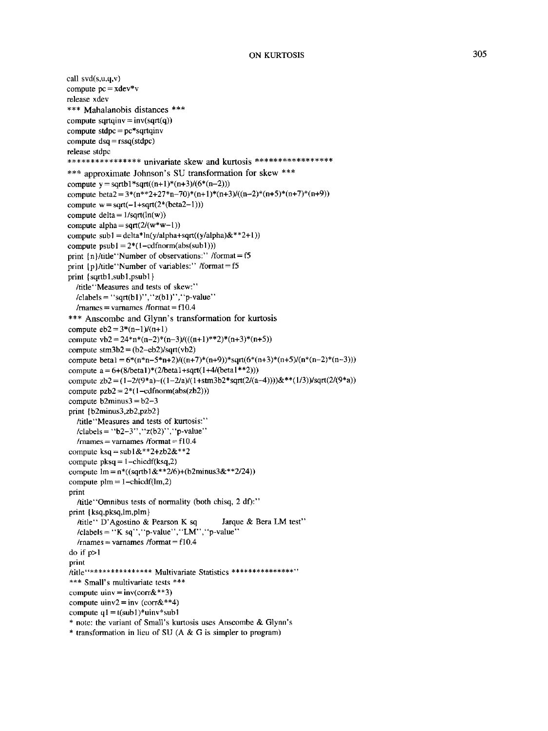```
call svd(s,u,q,v) 
compute pc = xdev* vrelease xdev 
*** Mahalanobis distances *** 
compute sqrtqinv = inv(sqrt(q))compute stdpc = pc*sqrtqinv 
compute dsq = rsq(stdpc)release stdpc 
**************** univariate skew and kurtosis ***************** 
*** approximate Johnson's SU transformation for skew ***
compute y = \sqrt{(n+1)*n+3}/(6*(n-2))compute beta2 = 3*(n**2+27*n-70)*(n+1)*(n+3)/((n-2)*(n+5)*(n+7)*(n+9))compute w = \sqrt{(1 + \sqrt{2*(\beta^2-1))}}compute delta = 1/\sqrt{\ln(w)}compute alpha = sqrt(2/(w*w-1))compute sub1 = delta*ln(y/alpha+sqrt(y/alpha+bx)compute psub1 = 2*(1-cdfnorm(abs(sub1)))print \{n\}/title"Number of observations:" /format = f5
print {p}/title"Number of variables:" /format= f5
print {sqrtb1,sub1,psub1}
  /title' 'Measures and tests of skew:" 
  /clabels = "sqrt(b1)", "z(b1)", "p-value"
  /rmames = varnames /format = f10.4
*** Anscombe and Glynn's transformation for kurtosis
compute eb2 = 3*(n-1)/(n+1)compute vb2 = 24*n*(n-2)*(n-3)/((n+1)**2)*(n+3)*(n+5))
compute stm3b2 = (b2 - eb2)/sqrt(vb2)compute betal = 6*(n*n-5*n+2)/((n+7)*(n+9))*sqrt(6*(n+3)*(n+5)/(n*(n-2)*(n-3)))compute a = 6+(8/beta1)*(2/beta1+sqrt(1+4/(beta1**2)))compute zb2 = (1-2/(9*a)-((1-2/a)/(l+stm3b2*sqrt(2/(a-4))))&**(1/3))/sqrt(21(9*a)) 
compute pzb2 = 2*(1-cdfnorm(abs(zb2)))compute b2minus3 = b2-3print { b2minus3,zb2,pzb2 }
  /title"Measures and tests of kurtosis:" 
  \ellclabels = "b2-3", "z(b2)", "p-value"
  /rmames = varnames /rformat = f10.4
compute ksq = sub1&**2+zb2&**2
compute pksq = 1-chicdf(ksq,2)
compute lm = n * ((sqrt b1 & 2k * 2/6) + (b2minus3 & 2/24))compute plm = 1-chicdf(lm,2)
print 
  /title"Omnibus tests of normality (both chisq, 2 df):" 
print { ksq,pksq,lm,plm} 
  /title" D'Agostino & Pearson K sq Jarque & Bera LM test" 
   \ellclabels = "K sq", "p-value", "LM", "p-value"
  /rnames = varnames /format = f10.4
do if p>l 
print 
/title"**************** Multivariate Statistics ********************
*** Small's multivariate tests *** 
compute \text{uinv} = \text{inv}(\text{corr} \& ^{**}3)compute \text{u}inv2 = \text{inv} (corr\&ast*4)
compute q1 = t(sub1)^*uinv*sub1
* note: the variant of Small's kurtosis uses Anscombe & Glynn's 
* transformation in lieu of SU (A & G is simpler to program)
```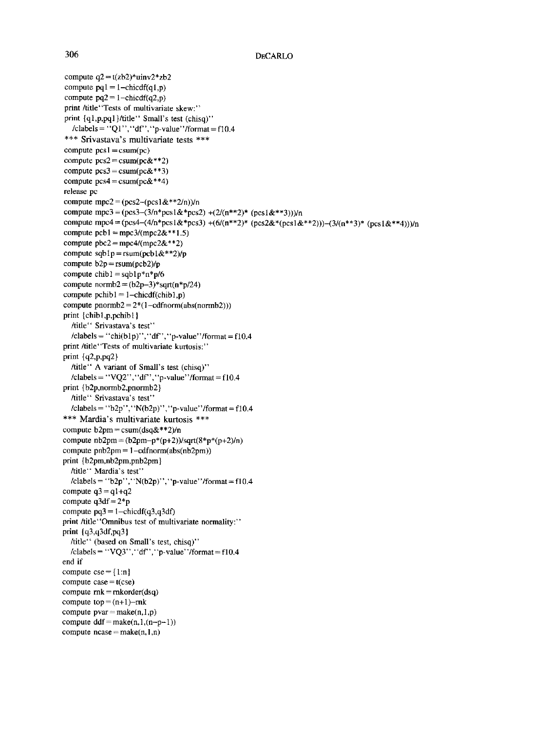```
compute q2 = t(zb2)^*uinv2*zb2compute pq1 = 1-chicdf(q1,p)
compute pq2 = 1-chicdf(q2,p)
print /title"Tests of multivariate skew:"
print \{q1,p,pq1\}/title" Small's test (chisq)"
  /clabels = "Q1", "df", "p-value"/format = f10.4
*** Srivastava's multivariate tests *** 
compute pcs1 = csum(pc)compute pcs2 = csum(pca^{*}2)compute pcs3 = csum(pca^{**}3)compute pcs4 = csum(pc&{**}4)release pc 
compute mpc2 = (pcs2-(pcs1&*2/n))/ncompute mpc3 = (pcs3-(3/n*pcs1&*pcs2) +(2/(n**2)* (pcs1&**3)))/n
compute mpc4 = (pcs4-(4/n*pcs1&*pcs3) +(6/(n**2)* (pcs2&*(pcs1&**2)))-(3/(n**3)* (pcs1&**4)))/n
compute pcb1 = mpc3/(mpc2&**1.5)compute pbc2 = \text{mpc4/(mpc2&**2)}compute sqb1p = rsum(pcb1&*2)/pcompute b2p = rsum(pcb2)/pcompute \text{chib1} = \text{sgb1p} * \text{n} * \text{p/6}compute normb2 = (b2p-3)*sqrt(n*p/24)compute pchi b1 = 1-chicdf(chibl,p)
compute pnormb2 = 2*(1-cdfnorm(abs(normb2)))print { chib 1, p, pchib 1 }
  /title" Srivastava's test"
  \ellclabels = "chi(b1p)", "df", "p-value"/format = f10.4
print /title"Tests of multivariate kurtosis:"
print {q2,p,pq2} 
  /title" A variant of Small's test (chisq)" 
  /clabels = "VQ2", "df", "p-value"/format = f10.4
print {b2p,normb2,pnormb2 } 
  /title" Srivastava's test" 
  \ellclabels = "b2p", "N(b2p)", "p-value"/format = f10.4
*** Mardia's multivariate kurtosis *** 
compute b2pm = csum(dsq&**2)/ncompute nb2pm = (b2pm-p*(p+2))/sqrt(8*p*(p+2)/n)compute pnb2pm = 1-cdfnorm(abs(nb2pm))print {b2pm,nb2pm,pnb2pm } 
  /title" Mardia's test" 
  /clabels = "b2p", "N(b2p)", "p-value"/format = f10.4
compute q3 = q1+q2compute q3df = 2*pcompute pq3 = 1-chicdf(q3,q3df)
print /title' 'Omnibus test of multivariate normality:''
print {q3,q3df, pq3 } 
  /title" (based on Small's test, chisq)" 
  \ellclabels = "VQ3", "df", "p-value"/format = f10.4
end if 
compute \csc = \{1:n\}compute case = t(cse)compute rnk = mkorder(dsq)compute top = (n+1)-rnk
compute pvar = make(n, 1, p)compute ddf = make(n, 1, (n-p-1))compute ncase = make(n, 1, n)
```